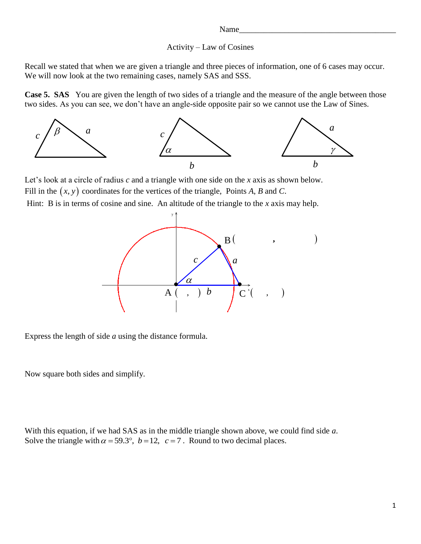#### Name\_

#### Activity – Law of Cosines

Recall we stated that when we are given a triangle and three pieces of information, one of 6 cases may occur. We will now look at the two remaining cases, namely SAS and SSS.

**Case 5. SAS** You are given the length of two sides of a triangle and the measure of the angle between those two sides. As you can see, we don't have an angle-side opposite pair so we cannot use the Law of Sines.



Let's look at a circle of radius *c* and a triangle with one side on the *x* axis as shown below. Fill in the  $(x, y)$  coordinates for the vertices of the triangle, Points *A*, *B* and *C*.

Hint: B is in terms of cosine and sine. An altitude of the triangle to the *x* axis may help.



Express the length of side  $a$  using the distance formula.

Now square both sides and simplify.

With this equation, if we had SAS as in the middle triangle shown above, we could find side *a*. which this equation, if we had SAS as in the find the triangle shown above, we consider the triangle with  $\alpha = 59.3^{\circ}$ ,  $b = 12$ ,  $c = 7$ . Round to two decimal places.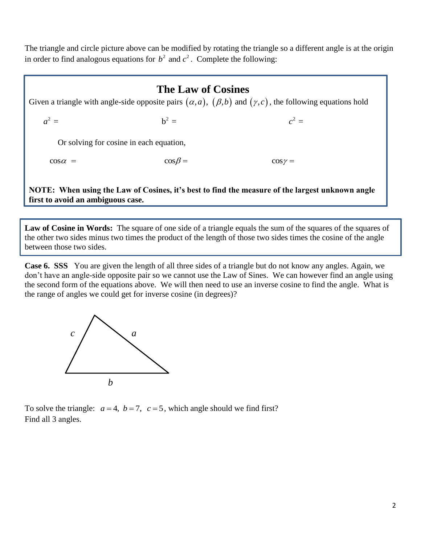The triangle and circle picture above can be modified by rotating the triangle so a different angle is at the origin in order to find analogous equations for  $b^2$  and  $c^2$ . Complete the following:

# **The Law of Cosines**

Given a triangle with angle-side opposite pairs  $(\alpha, a)$ ,  $(\beta, b)$  and  $(\gamma, c)$ , the following equations hold<br>  $a^2 =$   $b^2 =$ **The Law of Cosines**<br>
en a triangle with angle-side opposite pairs  $(\alpha, a)$ ,  $(\beta, b)$  and  $(\gamma, c)$ , the follow<br>  $a^2 =$   $b^2 =$   $c^2 =$ 

Or solving for cosine in each equation,

 $c^2 =$ <br>  $c^2 =$ <br>
Or solving for cosine in each equation,<br>  $\cos \alpha =$ <br>  $\cos \beta =$ <br>  $\cos \gamma =$ 

 **NOTE: When using the Law of Cosines, it's best to find the measure of the largest unknown angle first to avoid an ambiguous case.**

**Law of Cosine in Words:** The square of one side of a triangle equals the sum of the squares of the squares of the other two sides minus two times the product of the length of those two sides times the cosine of the angle between those two sides.

**Case 6. SSS** You are given the length of all three sides of a triangle but do not know any angles. Again, we don't have an angle-side opposite pair so we cannot use the Law of Sines. We can however find an angle using the second form of the equations above. We will then need to use an inverse cosine to find the angle. What is the range of angles we could get for inverse cosine (in degrees)?



To solve the triangle:  $a = 4$ ,  $b = 7$ ,  $c = 5$ , which angle should we find first? Find all 3 angles.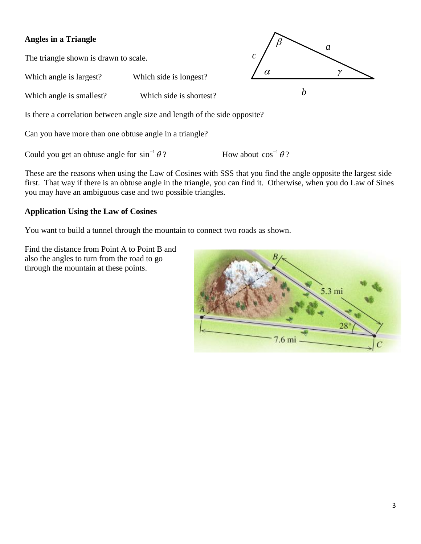### **Angles in a Triangle**

The triangle shown is drawn to scale.

Which angle is largest? Which side is longest?

Which angle is smallest? Which side is shortest?

Is there a correlation between angle size and length of the side opposite?

Can you have more than one obtuse angle in a triangle?

Could you get an obtuse angle for  $\sin^{-1}\theta$ ? How about  $\cos^{-1}\theta$ ?

These are the reasons when using the Law of Cosines with SSS that you find the angle opposite the largest side first. That way if there is an obtuse angle in the triangle, you can find it. Otherwise, when you do Law of Sines you may have an ambiguous case and two possible triangles.

*c*

 $\alpha$ 

 $\beta$ 

*a*

 $\gamma$ 

*b*

### **Application Using the Law of Cosines**

You want to build a tunnel through the mountain to connect two roads as shown.

Find the distance from Point A to Point B and also the angles to turn from the road to go through the mountain at these points.